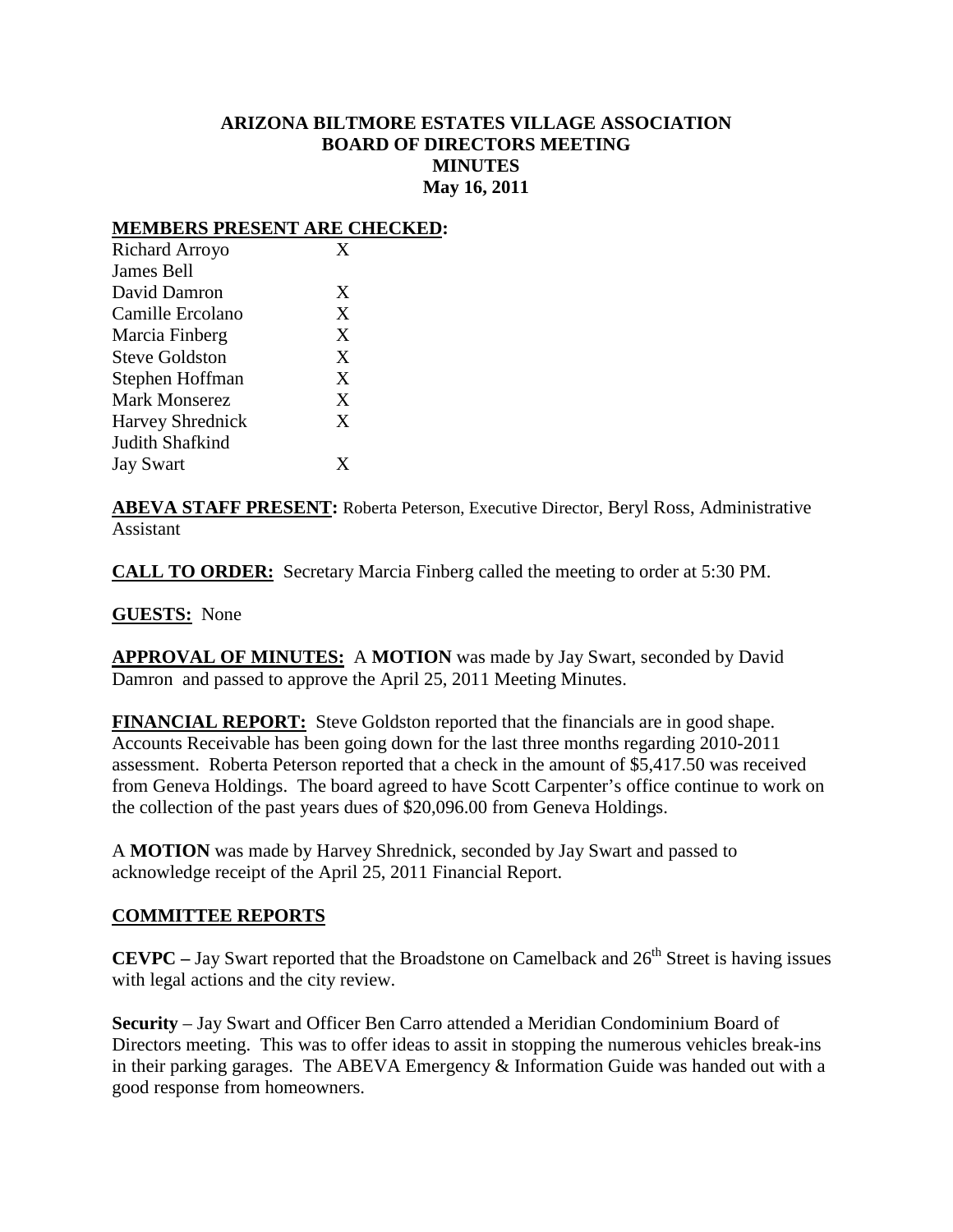## **ARIZONA BILTMORE ESTATES VILLAGE ASSOCIATION BOARD OF DIRECTORS MEETING MINUTES May 16, 2011**

#### **MEMBERS PRESENT ARE CHECKED:**

| Richard Arroyo          | $\mathbf x$ |
|-------------------------|-------------|
| James Bell              |             |
| David Damron            | X           |
| Camille Ercolano        | X           |
| Marcia Finberg          | X           |
| <b>Steve Goldston</b>   | X           |
| Stephen Hoffman         | X           |
| <b>Mark Monserez</b>    | X           |
| <b>Harvey Shrednick</b> | X           |
| Judith Shafkind         |             |
| <b>Jay Swart</b>        | Y           |
|                         |             |

**ABEVA STAFF PRESENT:** Roberta Peterson, Executive Director, Beryl Ross, Administrative Assistant

**CALL TO ORDER:** Secretary Marcia Finberg called the meeting to order at 5:30 PM.

**GUESTS:** None

**APPROVAL OF MINUTES:** A **MOTION** was made by Jay Swart, seconded by David Damron and passed to approve the April 25, 2011 Meeting Minutes.

**FINANCIAL REPORT:** Steve Goldston reported that the financials are in good shape. Accounts Receivable has been going down for the last three months regarding 2010-2011 assessment. Roberta Peterson reported that a check in the amount of \$5,417.50 was received from Geneva Holdings. The board agreed to have Scott Carpenter's office continue to work on the collection of the past years dues of \$20,096.00 from Geneva Holdings.

A **MOTION** was made by Harvey Shrednick, seconded by Jay Swart and passed to acknowledge receipt of the April 25, 2011 Financial Report.

### **COMMITTEE REPORTS**

**CEVPC** – Jay Swart reported that the Broadstone on Camelback and  $26<sup>th</sup>$  Street is having issues with legal actions and the city review.

**Security** – Jay Swart and Officer Ben Carro attended a Meridian Condominium Board of Directors meeting. This was to offer ideas to assit in stopping the numerous vehicles break-ins in their parking garages. The ABEVA Emergency & Information Guide was handed out with a good response from homeowners.